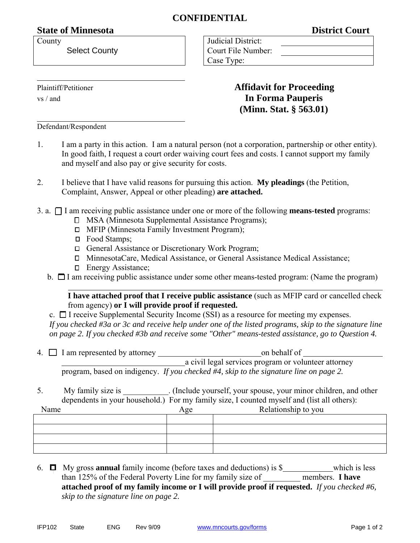## **CONFIDENTIAL**

## **State of Minnesota** District Court

County

Select County

| Judicial District: |  |  |
|--------------------|--|--|
| Court File Number: |  |  |
| Case Type:         |  |  |

**(Minn. Stat. § 563.01)** 

Plaintiff/Petitioner **Affidavit for Proceeding**

vs / and **In Forma Pauperis**

l

Defendant/Respondent

- 1. I am a party in this action. I am a natural person (not a corporation, partnership or other entity). In good faith, I request a court order waiving court fees and costs. I cannot support my family and myself and also pay or give security for costs.
- 2. I believe that I have valid reasons for pursuing this action. **My pleadings** (the Petition, Complaint, Answer, Appeal or other pleading) **are attached.**
- 3. a. I am receiving public assistance under one or more of the following **means-tested** programs:
	- MSA (Minnesota Supplemental Assistance Programs);
	- □ MFIP (Minnesota Family Investment Program);
	- □ Food Stamps;
	- □ General Assistance or Discretionary Work Program;
	- MinnesotaCare, Medical Assistance, or General Assistance Medical Assistance;
	- □ Energy Assistance;
	- b.  $\Box$  I am receiving public assistance under some other means-tested program: (Name the program)

 **I have attached proof that I receive public assistance** (such as MFIP card or cancelled check from agency) **or I will provide proof if requested.** 

c.  $\Box$  I receive Supplemental Security Income (SSI) as a resource for meeting my expenses. *If you checked #3a or 3c and receive help under one of the listed programs, skip to the signature line on page 2. If you checked #3b and receive some "Other" means-tested assistance, go to Question 4.* 

- 4. I am represented by attorney on behalf of a civil legal services program or volunteer attorney program, based on indigency. *If you checked #4, skip to the signature line on page 2.*
- 5. My family size is \_\_\_\_\_\_\_\_\_. (Include yourself, your spouse, your minor children, and other dependents in your household.) For my family size, I counted myself and (list all others):

| Name | Age | Relationship to you |
|------|-----|---------------------|
|      |     |                     |
|      |     |                     |
|      |     |                     |
|      |     |                     |

6. My gross **annual** family income (before taxes and deductions) is \$ which is less than 125% of the Federal Poverty Line for my family size of \_\_\_\_\_\_\_\_\_ members. **I have attached proof of my family income or I will provide proof if requested.** *If you checked #6, skip to the signature line on page 2.*